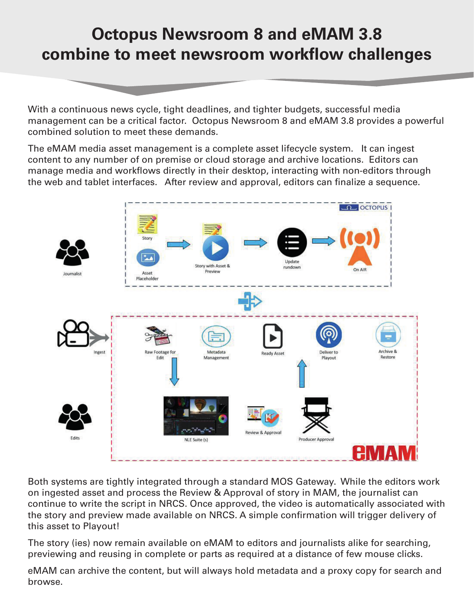## **Octopus Newsroom 8 and eMAM 3.8 combine to meet newsroom workflow challenges**

With a continuous news cycle, tight deadlines, and tighter budgets, successful media management can be a critical factor. Octopus Newsroom 8 and eMAM 3.8 provides a powerful combined solution to meet these demands.

The eMAM media asset management is a complete asset lifecycle system. It can ingest content to any number of on premise or cloud storage and archive locations. Editors can manage media and workflows directly in their desktop, interacting with non-editors through the web and tablet interfaces. After review and approval, editors can finalize a sequence.



Both systems are tightly integrated through a standard MOS Gateway. While the editors work on ingested asset and process the Review & Approval of story in MAM, the journalist can continue to write the script in NRCS. Once approved, the video is automatically associated with the story and preview made available on NRCS. A simple confirmation will trigger delivery of this asset to Playout!

The story (ies) now remain available on eMAM to editors and journalists alike for searching, previewing and reusing in complete or parts as required at a distance of few mouse clicks.

eMAM can archive the content, but will always hold metadata and a proxy copy for search and browse.